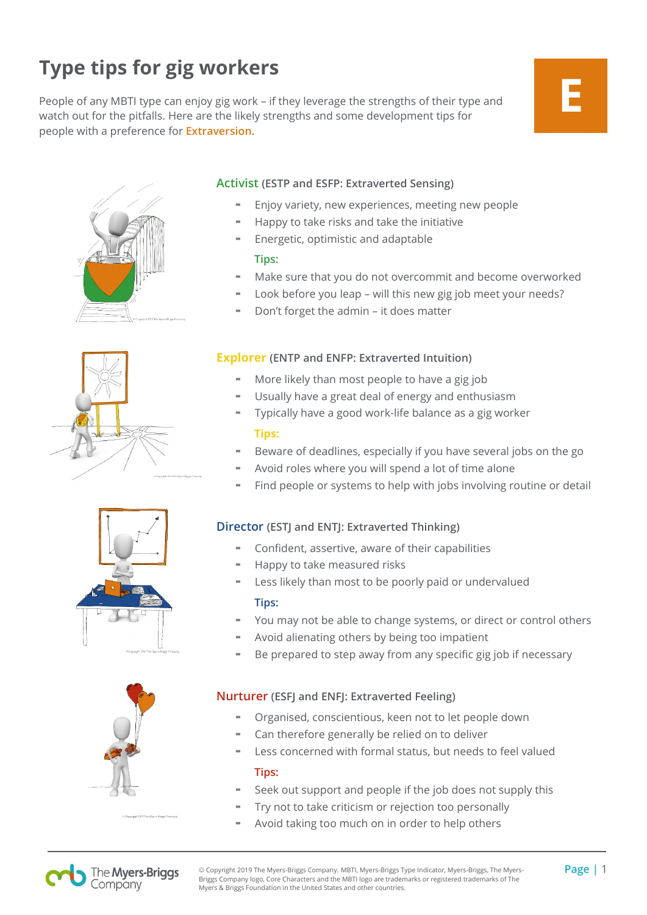## **Type tips for gig workers**

People of any MBTI type can enjoy gig work – if they leverage the strengths of their type and watch out for the pitfalls. Here are the likely strengths and some development tips for people with a preference for **Extraversion**.

## **E**









## **Activist (ESTP and ESFP: Extraverted Sensing)**

- Enjoy variety, new experiences, meeting new people
- Happy to take risks and take the initiative
- Energetic, optimistic and adaptable

## **Tips:**

- Make sure that you do not overcommit and become overworked
- Look before you leap will this new gig job meet your needs?
- Don't forget the admin it does matter

## **Explorer (ENTP and ENFP: Extraverted Intuition)**

- More likely than most people to have a gig job
- Usually have a great deal of energy and enthusiasm
- Typically have a good work-life balance as a gig worker **Tips:**
- Beware of deadlines, especially if you have several jobs on the go
- Avoid roles where you will spend a lot of time alone
- Find people or systems to help with jobs involving routine or detail

## **Director (ESTJ and ENTJ: Extraverted Thinking)**

- Confident, assertive, aware of their capabilities
- Happy to take measured risks
- Less likely than most to be poorly paid or undervalued

## **Tips:**

- You may not be able to change systems, or direct or control others
- Avoid alienating others by being too impatient
- Be prepared to step away from any specific gig job if necessary

## **Nurturer (ESFJ and ENFJ: Extraverted Feeling)**

- Organised, conscientious, keen not to let people down
- Can therefore generally be relied on to deliver
- Less concerned with formal status, but needs to feel valued

## **Tips:**

- Seek out support and people if the job does not supply this
- Try not to take criticism or rejection too personally
- Avoid taking too much on in order to help others